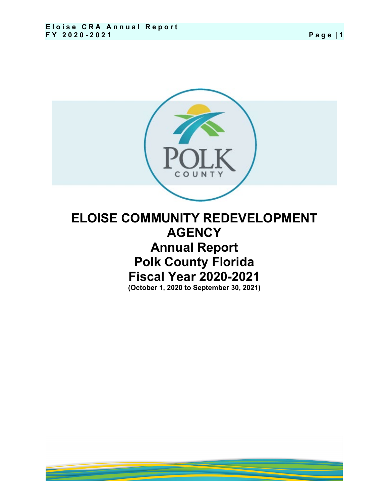

**Polk County Florida Fiscal Year 2020-2021**

**(October 1, 2020 to September 30, 2021)**

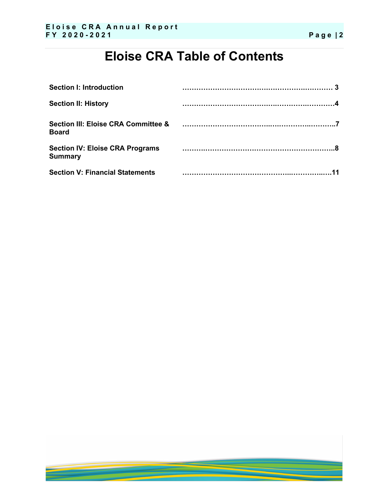# **Eloise CRA Table of Contents**

| <b>Section I: Introduction</b>                           |  |
|----------------------------------------------------------|--|
| <b>Section II: History</b>                               |  |
| Section III: Eloise CRA Committee &<br><b>Board</b>      |  |
| <b>Section IV: Eloise CRA Programs</b><br><b>Summary</b> |  |
| <b>Section V: Financial Statements</b>                   |  |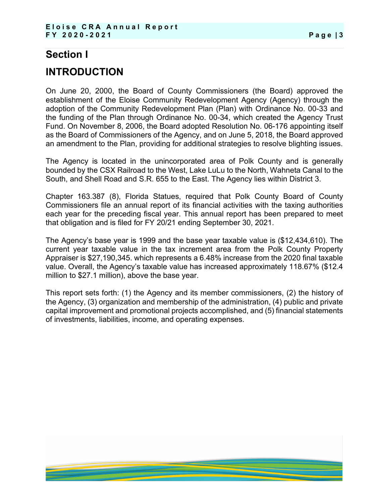## **Section I**

# **INTRODUCTION**

On June 20, 2000, the Board of County Commissioners (the Board) approved the establishment of the Eloise Community Redevelopment Agency (Agency) through the adoption of the Community Redevelopment Plan (Plan) with Ordinance No. 00-33 and the funding of the Plan through Ordinance No. 00-34, which created the Agency Trust Fund. On November 8, 2006, the Board adopted Resolution No. 06-176 appointing itself as the Board of Commissioners of the Agency, and on June 5, 2018, the Board approved an amendment to the Plan, providing for additional strategies to resolve blighting issues.

The Agency is located in the unincorporated area of Polk County and is generally bounded by the CSX Railroad to the West, Lake LuLu to the North, Wahneta Canal to the South, and Shell Road and S.R. 655 to the East. The Agency lies within District 3.

Chapter 163.387 (8), Florida Statues, required that Polk County Board of County Commissioners file an annual report of its financial activities with the taxing authorities each year for the preceding fiscal year. This annual report has been prepared to meet that obligation and is filed for FY 20/21 ending September 30, 2021.

The Agency's base year is 1999 and the base year taxable value is (\$12,434,610). The current year taxable value in the tax increment area from the Polk County Property Appraiser is \$27,190,345. which represents a 6.48% increase from the 2020 final taxable value. Overall, the Agency's taxable value has increased approximately 118.67% (\$12.4 million to \$27.1 million), above the base year.

This report sets forth: (1) the Agency and its member commissioners, (2) the history of the Agency, (3) organization and membership of the administration, (4) public and private capital improvement and promotional projects accomplished, and (5) financial statements of investments, liabilities, income, and operating expenses.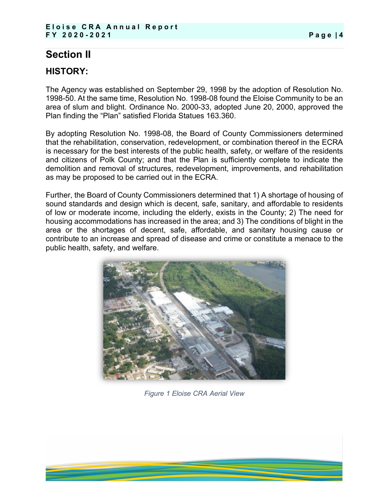## **Section II**

## **HISTORY:**

The Agency was established on September 29, 1998 by the adoption of Resolution No. 1998-50. At the same time, Resolution No. 1998-08 found the Eloise Community to be an area of slum and blight. Ordinance No. 2000-33, adopted June 20, 2000, approved the Plan finding the "Plan" satisfied Florida Statues 163.360.

By adopting Resolution No. 1998-08, the Board of County Commissioners determined that the rehabilitation, conservation, redevelopment, or combination thereof in the ECRA is necessary for the best interests of the public health, safety, or welfare of the residents and citizens of Polk County; and that the Plan is sufficiently complete to indicate the demolition and removal of structures, redevelopment, improvements, and rehabilitation as may be proposed to be carried out in the ECRA.

Further, the Board of County Commissioners determined that 1) A shortage of housing of sound standards and design which is decent, safe, sanitary, and affordable to residents of low or moderate income, including the elderly, exists in the County; 2) The need for housing accommodations has increased in the area; and 3) The conditions of blight in the area or the shortages of decent, safe, affordable, and sanitary housing cause or contribute to an increase and spread of disease and crime or constitute a menace to the public health, safety, and welfare.



*Figure 1 Eloise CRA Aerial View*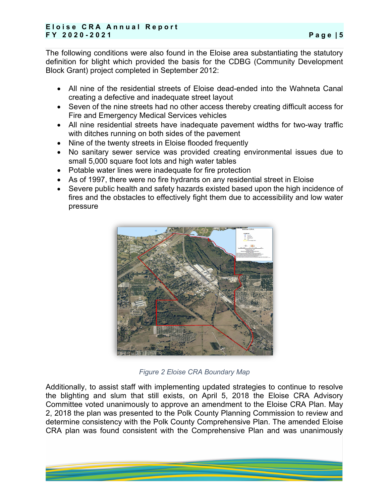#### **Eloise CRA Annual Report FY 2020 - 2021 Page | 5**

The following conditions were also found in the Eloise area substantiating the statutory definition for blight which provided the basis for the CDBG (Community Development Block Grant) project completed in September 2012:

- All nine of the residential streets of Eloise dead-ended into the Wahneta Canal creating a defective and inadequate street layout
- Seven of the nine streets had no other access thereby creating difficult access for Fire and Emergency Medical Services vehicles
- All nine residential streets have inadequate pavement widths for two-way traffic with ditches running on both sides of the pavement
- Nine of the twenty streets in Eloise flooded frequently
- No sanitary sewer service was provided creating environmental issues due to small 5,000 square foot lots and high water tables
- Potable water lines were inadequate for fire protection
- As of 1997, there were no fire hydrants on any residential street in Eloise
- Severe public health and safety hazards existed based upon the high incidence of fires and the obstacles to effectively fight them due to accessibility and low water pressure



**Figure 2 Eloise CRA Boundary Map** 

Additionally, to assist staff with implementing updated strategies to continue to resolve the blighting and slum that still exists, on April 5, 2018 the Eloise CRA Advisory Committee voted unanimously to approve an amendment to the Eloise CRA Plan. May 2, 2018 the plan was presented to the Polk County Planning Commission to review and determine consistency with the Polk County Comprehensive Plan. The amended Eloise CRA plan was found consistent with the Comprehensive Plan and was unanimously

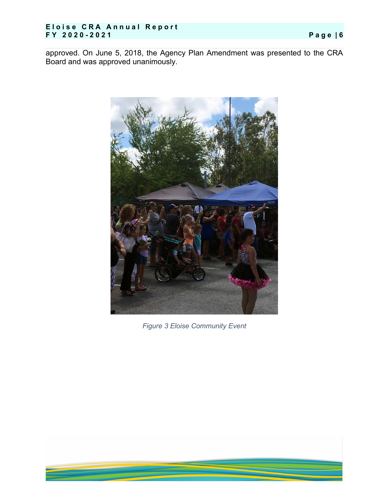#### **Eloise CRA Annual Report FY 2020 - 2021 Page | 6**

approved. On June 5, 2018, the Agency Plan Amendment was presented to the CRA Board and was approved unanimously.



**Figure 3 Eloise Community Event**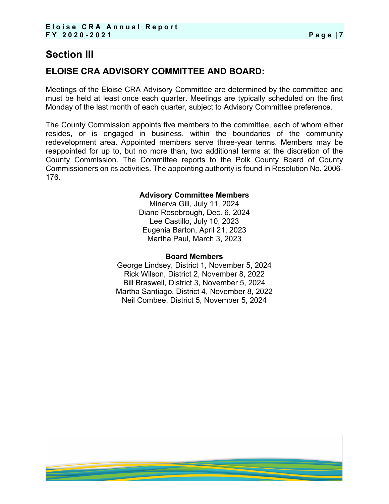## **Section III**

## **ELOISE CRA ADVISORY COMMITTEE AND BOARD:**

Meetings of the Eloise CRA Advisory Committee are determined by the committee and must be held at least once each quarter. Meetings are typically scheduled on the first Monday of the last month of each quarter, subject to Advisory Committee preference.

The County Commission appoints five members to the committee, each of whom either resides, or is engaged in business, within the boundaries of the community redevelopment area. Appointed members serve three-year terms. Members may be reappointed for up to, but no more than, two additional terms at the discretion of the County Commission. The Committee reports to the Polk County Board of County Commissioners on its activities. The appointing authority is found in Resolution No. 2006- 176.

#### **Advisory Committee Members**

Minerva Gill, July 11, 2024 Diane Rosebrough, Dec. 6, 2024 Lee Castillo, July 10, 2023 Eugenia Barton, April 21, 2023 Martha Paul, March 3, 2023

#### **Board Members**

George Lindsey, District 1, November 5, 2024 Rick Wilson, District 2, November 8, 2022 Bill Braswell, District 3, November 5, 2024 Martha Santiago, District 4, November 8, 2022 Neil Combee, District 5, November 5, 2024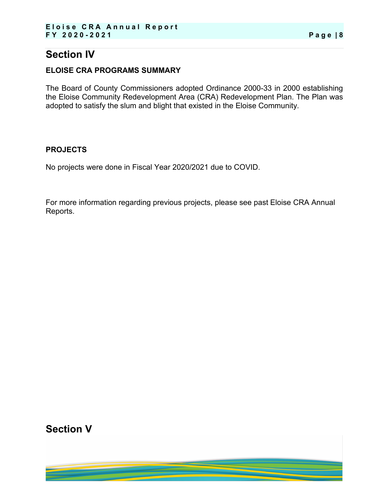## **Section IV**

#### **ELOISE CRA PROGRAMS SUMMARY**

The Board of County Commissioners adopted Ordinance 2000-33 in 2000 establishing the Eloise Community Redevelopment Area (CRA) Redevelopment Plan. The Plan was adopted to satisfy the slum and blight that existed in the Eloise Community.

#### **PROJECTS**

No projects were done in Fiscal Year 2020/2021 due to COVID.

For more information regarding previous projects, please see past Eloise CRA Annual Reports.

**Section V**